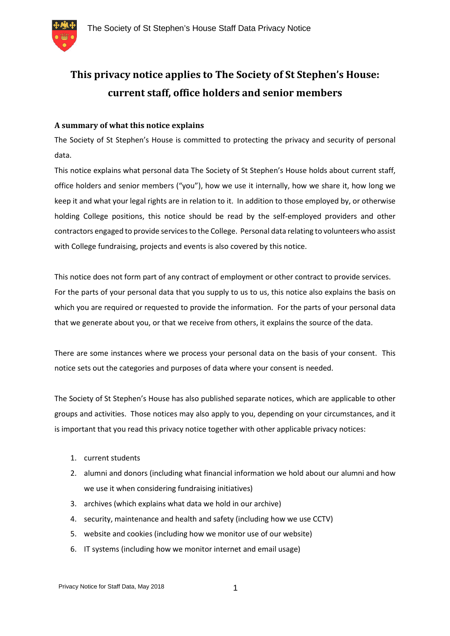

# **This privacy notice applies to The Society of St Stephen's House: current staff, office holders and senior members**

## **A summary of what this notice explains**

The Society of St Stephen's House is committed to protecting the privacy and security of personal data.

This notice explains what personal data The Society of St Stephen's House holds about current staff, office holders and senior members ("you"), how we use it internally, how we share it, how long we keep it and what your legal rights are in relation to it. In addition to those employed by, or otherwise holding College positions, this notice should be read by the self-employed providers and other contractors engaged to provide services to the College. Personal data relating to volunteers who assist with College fundraising, projects and events is also covered by this notice.

This notice does not form part of any contract of employment or other contract to provide services. For the parts of your personal data that you supply to us to us, this notice also explains the basis on which you are required or requested to provide the information. For the parts of your personal data that we generate about you, or that we receive from others, it explains the source of the data.

There are some instances where we process your personal data on the basis of your consent. This notice sets out the categories and purposes of data where your consent is needed.

The Society of St Stephen's House has also published separate notices, which are applicable to other groups and activities. Those notices may also apply to you, depending on your circumstances, and it is important that you read this privacy notice together with other applicable privacy notices:

- 1. current students
- 2. alumni and donors (including what financial information we hold about our alumni and how we use it when considering fundraising initiatives)
- 3. archives (which explains what data we hold in our archive)
- 4. security, maintenance and health and safety (including how we use CCTV)
- 5. website and cookies (including how we monitor use of our website)
- 6. IT systems (including how we monitor internet and email usage)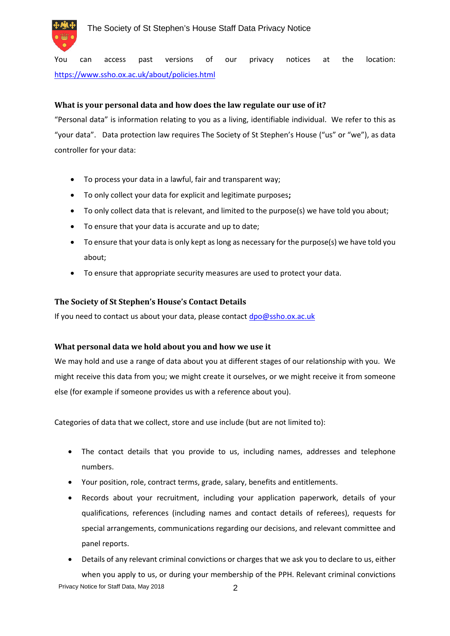

You can access past versions of our privacy notices at the location: https://www.ssho.ox.ac.uk/about/policies.html

## **What is your personal data and how does the law regulate our use of it?**

"Personal data" is information relating to you as a living, identifiable individual. We refer to this as "your data". Data protection law requires The Society of St Stephen's House ("us" or "we"), as data controller for your data:

- To process your data in a lawful, fair and transparent way;
- To only collect your data for explicit and legitimate purposes**;**
- To only collect data that is relevant, and limited to the purpose(s) we have told you about;
- To ensure that your data is accurate and up to date;
- To ensure that your data is only kept as long as necessary for the purpose(s) we have told you about;
- To ensure that appropriate security measures are used to protect your data.

#### **The Society of St Stephen's House's Contact Details**

If you need to contact us about your data, please contact dpo@ssho.ox.ac.uk

#### **What personal data we hold about you and how we use it**

We may hold and use a range of data about you at different stages of our relationship with you. We might receive this data from you; we might create it ourselves, or we might receive it from someone else (for example if someone provides us with a reference about you).

Categories of data that we collect, store and use include (but are not limited to):

- The contact details that you provide to us, including names, addresses and telephone numbers.
- Your position, role, contract terms, grade, salary, benefits and entitlements.
- Records about your recruitment, including your application paperwork, details of your qualifications, references (including names and contact details of referees), requests for special arrangements, communications regarding our decisions, and relevant committee and panel reports.
- Details of any relevant criminal convictions or charges that we ask you to declare to us, either when you apply to us, or during your membership of the PPH. Relevant criminal convictions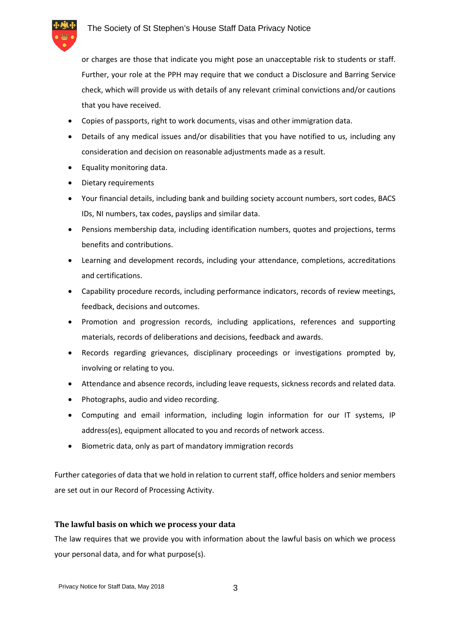

or charges are those that indicate you might pose an unacceptable risk to students or staff. Further, your role at the PPH may require that we conduct a Disclosure and Barring Service check, which will provide us with details of any relevant criminal convictions and/or cautions that you have received.

- Copies of passports, right to work documents, visas and other immigration data.
- Details of any medical issues and/or disabilities that you have notified to us, including any consideration and decision on reasonable adjustments made as a result.
- Equality monitoring data.
- Dietary requirements
- Your financial details, including bank and building society account numbers, sort codes, BACS IDs, NI numbers, tax codes, payslips and similar data.
- Pensions membership data, including identification numbers, quotes and projections, terms benefits and contributions.
- Learning and development records, including your attendance, completions, accreditations and certifications.
- Capability procedure records, including performance indicators, records of review meetings, feedback, decisions and outcomes.
- Promotion and progression records, including applications, references and supporting materials, records of deliberations and decisions, feedback and awards.
- Records regarding grievances, disciplinary proceedings or investigations prompted by, involving or relating to you.
- Attendance and absence records, including leave requests, sickness records and related data.
- Photographs, audio and video recording.
- Computing and email information, including login information for our IT systems, IP address(es), equipment allocated to you and records of network access.
- Biometric data, only as part of mandatory immigration records

Further categories of data that we hold in relation to current staff, office holders and senior members are set out in our Record of Processing Activity.

#### **The lawful basis on which we process your data**

The law requires that we provide you with information about the lawful basis on which we process your personal data, and for what purpose(s).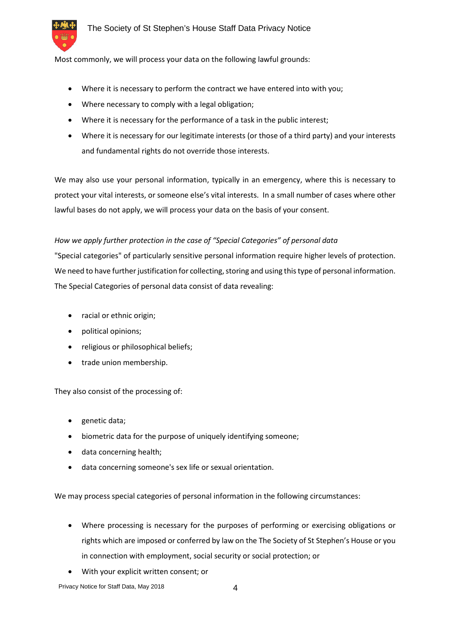

Most commonly, we will process your data on the following lawful grounds:

- Where it is necessary to perform the contract we have entered into with you;
- Where necessary to comply with a legal obligation;
- Where it is necessary for the performance of a task in the public interest;
- Where it is necessary for our legitimate interests (or those of a third party) and your interests and fundamental rights do not override those interests.

We may also use your personal information, typically in an emergency, where this is necessary to protect your vital interests, or someone else's vital interests. In a small number of cases where other lawful bases do not apply, we will process your data on the basis of your consent.

#### *How we apply further protection in the case of "Special Categories" of personal data*

"Special categories" of particularly sensitive personal information require higher levels of protection. We need to have further justification for collecting, storing and using this type of personal information. The Special Categories of personal data consist of data revealing:

- racial or ethnic origin;
- political opinions;
- religious or philosophical beliefs;
- trade union membership.

They also consist of the processing of:

- genetic data;
- biometric data for the purpose of uniquely identifying someone;
- data concerning health;
- data concerning someone's sex life or sexual orientation.

We may process special categories of personal information in the following circumstances:

- Where processing is necessary for the purposes of performing or exercising obligations or rights which are imposed or conferred by law on the The Society of St Stephen's House or you in connection with employment, social security or social protection; or
- With your explicit written consent; or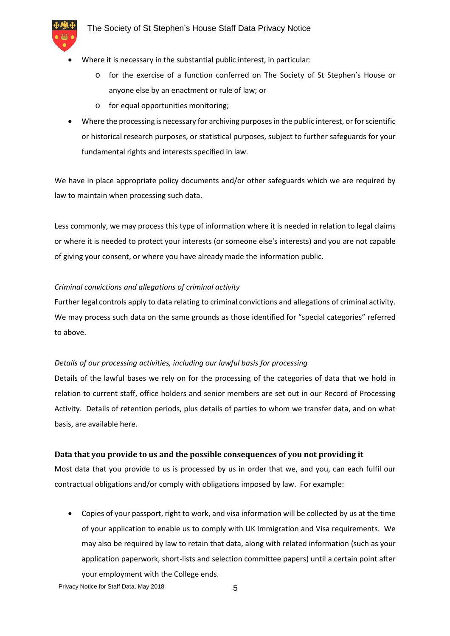

- Where it is necessary in the substantial public interest, in particular:
	- o for the exercise of a function conferred on The Society of St Stephen's House or anyone else by an enactment or rule of law; or
	- o for equal opportunities monitoring;
- Where the processing is necessary for archiving purposes in the public interest, or for scientific or historical research purposes, or statistical purposes, subject to further safeguards for your fundamental rights and interests specified in law.

We have in place appropriate policy documents and/or other safeguards which we are required by law to maintain when processing such data.

Less commonly, we may process this type of information where it is needed in relation to legal claims or where it is needed to protect your interests (or someone else's interests) and you are not capable of giving your consent, or where you have already made the information public.

#### *Criminal convictions and allegations of criminal activity*

Further legal controls apply to data relating to criminal convictions and allegations of criminal activity. We may process such data on the same grounds as those identified for "special categories" referred to above.

#### *Details of our processing activities, including our lawful basis for processing*

Details of the lawful bases we rely on for the processing of the categories of data that we hold in relation to current staff, office holders and senior members are set out in our Record of Processing Activity. Details of retention periods, plus details of parties to whom we transfer data, and on what basis, are available here.

#### **Data that you provide to us and the possible consequences of you not providing it**

Most data that you provide to us is processed by us in order that we, and you, can each fulfil our contractual obligations and/or comply with obligations imposed by law. For example:

 Copies of your passport, right to work, and visa information will be collected by us at the time of your application to enable us to comply with UK Immigration and Visa requirements. We may also be required by law to retain that data, along with related information (such as your application paperwork, short-lists and selection committee papers) until a certain point after your employment with the College ends.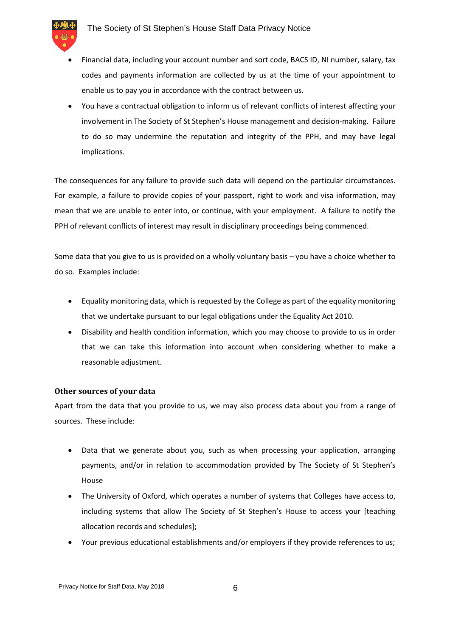

- Financial data, including your account number and sort code, BACS ID, NI number, salary, tax codes and payments information are collected by us at the time of your appointment to enable us to pay you in accordance with the contract between us.
- You have a contractual obligation to inform us of relevant conflicts of interest affecting your involvement in The Society of St Stephen's House management and decision-making. Failure to do so may undermine the reputation and integrity of the PPH, and may have legal implications.

The consequences for any failure to provide such data will depend on the particular circumstances. For example, a failure to provide copies of your passport, right to work and visa information, may mean that we are unable to enter into, or continue, with your employment. A failure to notify the PPH of relevant conflicts of interest may result in disciplinary proceedings being commenced.

Some data that you give to us is provided on a wholly voluntary basis – you have a choice whether to do so. Examples include:

- Equality monitoring data, which is requested by the College as part of the equality monitoring that we undertake pursuant to our legal obligations under the Equality Act 2010.
- Disability and health condition information, which you may choose to provide to us in order that we can take this information into account when considering whether to make a reasonable adjustment.

#### **Other sources of your data**

Apart from the data that you provide to us, we may also process data about you from a range of sources. These include:

- Data that we generate about you, such as when processing your application, arranging payments, and/or in relation to accommodation provided by The Society of St Stephen's House
- The University of Oxford, which operates a number of systems that Colleges have access to, including systems that allow The Society of St Stephen's House to access your [teaching allocation records and schedules];
- Your previous educational establishments and/or employers if they provide references to us;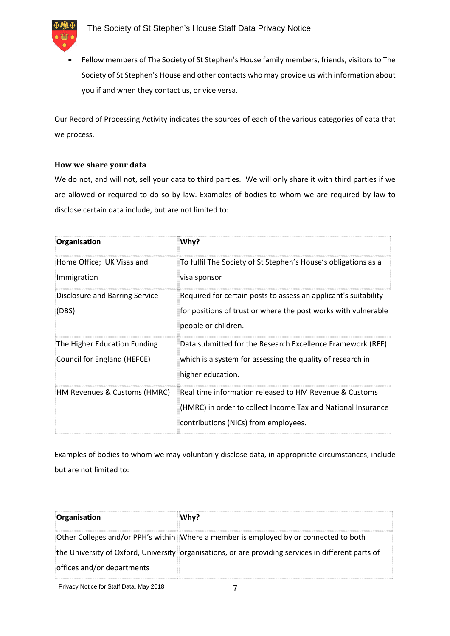

 Fellow members of The Society of St Stephen's House family members, friends, visitors to The Society of St Stephen's House and other contacts who may provide us with information about you if and when they contact us, or vice versa.

Our Record of Processing Activity indicates the sources of each of the various categories of data that we process.

## **How we share your data**

We do not, and will not, sell your data to third parties. We will only share it with third parties if we are allowed or required to do so by law. Examples of bodies to whom we are required by law to disclose certain data include, but are not limited to:

| Organisation                                                | Why?                                                                                                                                                           |
|-------------------------------------------------------------|----------------------------------------------------------------------------------------------------------------------------------------------------------------|
| Home Office; UK Visas and<br>Immigration                    | To fulfil The Society of St Stephen's House's obligations as a<br>visa sponsor                                                                                 |
| Disclosure and Barring Service<br>(DBS)                     | Required for certain posts to assess an applicant's suitability<br>for positions of trust or where the post works with vulnerable<br>people or children.       |
| The Higher Education Funding<br>Council for England (HEFCE) | Data submitted for the Research Excellence Framework (REF)<br>which is a system for assessing the quality of research in<br>higher education.                  |
| HM Revenues & Customs (HMRC)                                | Real time information released to HM Revenue & Customs<br>(HMRC) in order to collect Income Tax and National Insurance<br>contributions (NICs) from employees. |

Examples of bodies to whom we may voluntarily disclose data, in appropriate circumstances, include but are not limited to:

| Organisation               | Why?                                                                                                |
|----------------------------|-----------------------------------------------------------------------------------------------------|
|                            | Other Colleges and/or PPH's within Where a member is employed by or connected to both               |
|                            | the University of Oxford, University organisations, or are providing services in different parts of |
| offices and/or departments |                                                                                                     |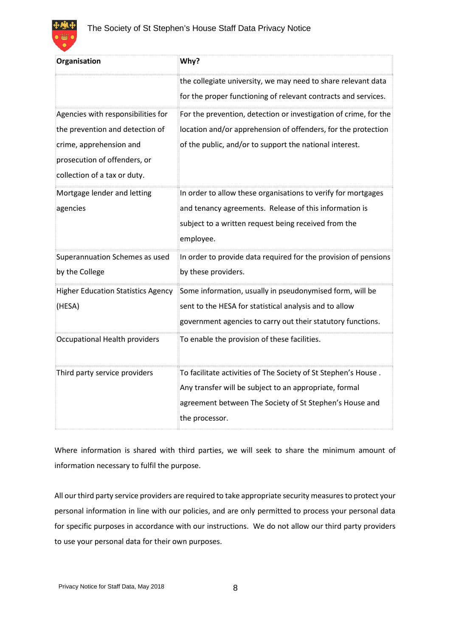

| Organisation                                                                                                                                                     | Why?                                                                                                                                                                                                  |
|------------------------------------------------------------------------------------------------------------------------------------------------------------------|-------------------------------------------------------------------------------------------------------------------------------------------------------------------------------------------------------|
|                                                                                                                                                                  | the collegiate university, we may need to share relevant data<br>for the proper functioning of relevant contracts and services.                                                                       |
| Agencies with responsibilities for<br>the prevention and detection of<br>crime, apprehension and<br>prosecution of offenders, or<br>collection of a tax or duty. | For the prevention, detection or investigation of crime, for the<br>location and/or apprehension of offenders, for the protection<br>of the public, and/or to support the national interest.          |
| Mortgage lender and letting<br>agencies                                                                                                                          | In order to allow these organisations to verify for mortgages<br>and tenancy agreements. Release of this information is<br>subject to a written request being received from the<br>employee.          |
| Superannuation Schemes as used<br>by the College                                                                                                                 | In order to provide data required for the provision of pensions<br>by these providers.                                                                                                                |
| <b>Higher Education Statistics Agency</b><br>(HESA)                                                                                                              | Some information, usually in pseudonymised form, will be<br>sent to the HESA for statistical analysis and to allow<br>government agencies to carry out their statutory functions.                     |
| Occupational Health providers                                                                                                                                    | To enable the provision of these facilities.                                                                                                                                                          |
| Third party service providers                                                                                                                                    | To facilitate activities of The Society of St Stephen's House.<br>Any transfer will be subject to an appropriate, formal<br>agreement between The Society of St Stephen's House and<br>the processor. |

Where information is shared with third parties, we will seek to share the minimum amount of information necessary to fulfil the purpose.

All our third party service providers are required to take appropriate security measures to protect your personal information in line with our policies, and are only permitted to process your personal data for specific purposes in accordance with our instructions. We do not allow our third party providers to use your personal data for their own purposes.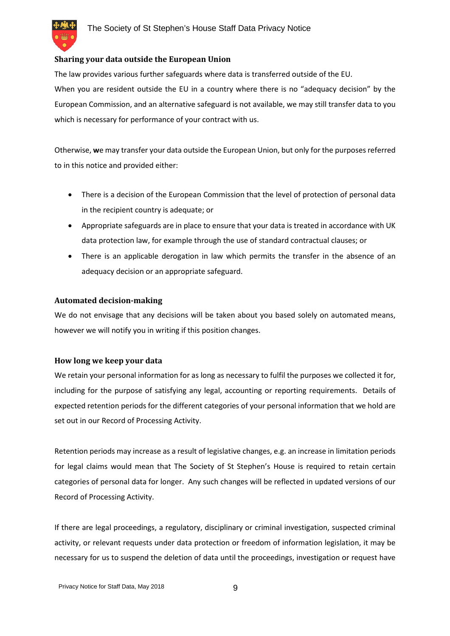#### **Sharing your data outside the European Union**

The law provides various further safeguards where data is transferred outside of the EU. When you are resident outside the EU in a country where there is no "adequacy decision" by the European Commission, and an alternative safeguard is not available, we may still transfer data to you which is necessary for performance of your contract with us.

Otherwise, **w**e may transfer your data outside the European Union, but only for the purposes referred to in this notice and provided either:

- There is a decision of the European Commission that the level of protection of personal data in the recipient country is adequate; or
- Appropriate safeguards are in place to ensure that your data is treated in accordance with UK data protection law, for example through the use of standard contractual clauses; or
- There is an applicable derogation in law which permits the transfer in the absence of an adequacy decision or an appropriate safeguard.

#### **Automated decision-making**

We do not envisage that any decisions will be taken about you based solely on automated means, however we will notify you in writing if this position changes.

#### **How long we keep your data**

We retain your personal information for as long as necessary to fulfil the purposes we collected it for, including for the purpose of satisfying any legal, accounting or reporting requirements. Details of expected retention periods for the different categories of your personal information that we hold are set out in our Record of Processing Activity.

Retention periods may increase as a result of legislative changes, e.g. an increase in limitation periods for legal claims would mean that The Society of St Stephen's House is required to retain certain categories of personal data for longer. Any such changes will be reflected in updated versions of our Record of Processing Activity.

If there are legal proceedings, a regulatory, disciplinary or criminal investigation, suspected criminal activity, or relevant requests under data protection or freedom of information legislation, it may be necessary for us to suspend the deletion of data until the proceedings, investigation or request have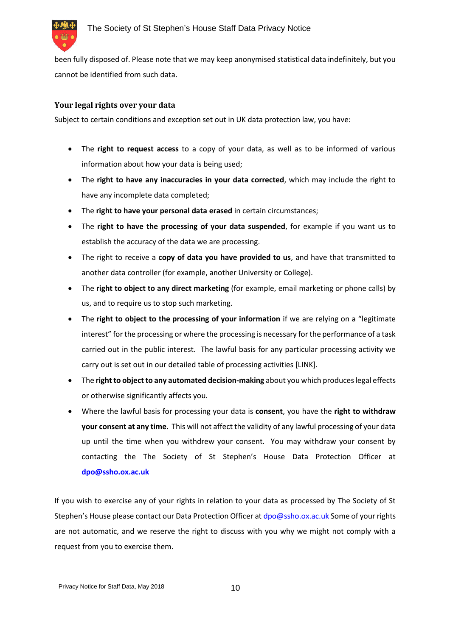

been fully disposed of. Please note that we may keep anonymised statistical data indefinitely, but you cannot be identified from such data.

#### **Your legal rights over your data**

Subject to certain conditions and exception set out in UK data protection law, you have:

- The **right to request access** to a copy of your data, as well as to be informed of various information about how your data is being used;
- The **right to have any inaccuracies in your data corrected**, which may include the right to have any incomplete data completed;
- The **right to have your personal data erased** in certain circumstances;
- The **right to have the processing of your data suspended**, for example if you want us to establish the accuracy of the data we are processing.
- The right to receive a **copy of data you have provided to us**, and have that transmitted to another data controller (for example, another University or College).
- The **right to object to any direct marketing** (for example, email marketing or phone calls) by us, and to require us to stop such marketing.
- The **right to object to the processing of your information** if we are relying on a "legitimate interest" for the processing or where the processing is necessary for the performance of a task carried out in the public interest. The lawful basis for any particular processing activity we carry out is set out in our detailed table of processing activities [LINK].
- The **right to object to any automated decision-making** about you which produces legal effects or otherwise significantly affects you.
- Where the lawful basis for processing your data is **consent**, you have the **right to withdraw your consent at any time**. This will not affect the validity of any lawful processing of your data up until the time when you withdrew your consent. You may withdraw your consent by contacting the The Society of St Stephen's House Data Protection Officer at **dpo@ssho.ox.ac.uk**

If you wish to exercise any of your rights in relation to your data as processed by The Society of St Stephen's House please contact our Data Protection Officer at dpo@ssho.ox.ac.uk Some of your rights are not automatic, and we reserve the right to discuss with you why we might not comply with a request from you to exercise them.